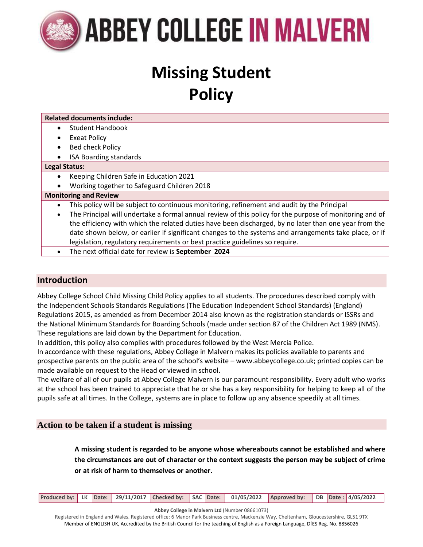

## **Missing Student Policy**

| <b>Related documents include:</b>                                                                       |
|---------------------------------------------------------------------------------------------------------|
| <b>Student Handbook</b>                                                                                 |
| <b>Exeat Policy</b>                                                                                     |
| <b>Bed check Policy</b>                                                                                 |
| <b>ISA Boarding standards</b>                                                                           |
| <b>Legal Status:</b>                                                                                    |
| Keeping Children Safe in Education 2021<br>$\bullet$                                                    |
| Working together to Safeguard Children 2018                                                             |
| <b>Monitoring and Review</b>                                                                            |
| This policy will be subject to continuous monitoring, refinement and audit by the Principal             |
| The Principal will undertake a formal annual review of this policy for the purpose of monitoring and of |
| the efficiency with which the related duties have been discharged, by no later than one year from the   |
| date shown below, or earlier if significant changes to the systems and arrangements take place, or if   |
| legislation, regulatory requirements or best practice guidelines so require.                            |
| The next official date for review is September 2024                                                     |
|                                                                                                         |
|                                                                                                         |

### **Introduction**

Abbey College School Child Missing Child Policy applies to all students. The procedures described comply with the Independent Schools Standards Regulations (The Education Independent School Standards) (England) Regulations 2015, as amended as from December 2014 also known as the registration standards or ISSRs and the National Minimum Standards for Boarding Schools (made under section 87 of the Children Act 1989 (NMS). These regulations are laid down by the Department for Education.

In addition, this policy also complies with procedures followed by the West Mercia Police.

In accordance with these regulations, Abbey College in Malvern makes its policies available to parents and prospective parents on the public area of the school's website – www.abbeycollege.co.uk; printed copies can be made available on request to the Head or viewed in school.

The welfare of all of our pupils at Abbey College Malvern is our paramount responsibility. Every adult who works at the school has been trained to appreciate that he or she has a key responsibility for helping to keep all of the pupils safe at all times. In the College, systems are in place to follow up any absence speedily at all times.

#### **Action to be taken if a student is missing**

**A missing student is regarded to be anyone whose whereabouts cannot be established and where the circumstances are out of character or the context suggests the person may be subject of crime or at risk of harm to themselves or another.**

| Produced by: LK Date: 29/11/2017 Checked by: SAC Date: 01/05/2022 Approved by: DB Date: 4/05/2022 |  |  |  |  |  |
|---------------------------------------------------------------------------------------------------|--|--|--|--|--|
|---------------------------------------------------------------------------------------------------|--|--|--|--|--|

**Abbey College in Malvern Ltd** (Number 08661073)

Registered in England and Wales. Registered office: 6 Manor Park Business centre, Mackenzie Way, Cheltenham, Gloucestershire, GL51 9TX Member of ENGLISH UK, Accredited by the British Council for the teaching of English as a Foreign Language, DfES Reg. No. 8856026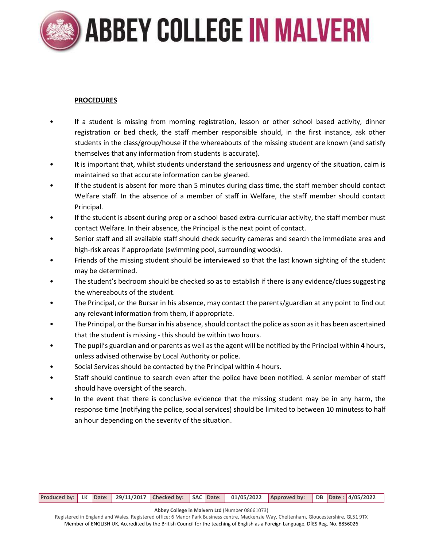# **ABBEY COLLEGE IN MALVERN**

#### **PROCEDURES**

- If a student is missing from morning registration, lesson or other school based activity, dinner registration or bed check, the staff member responsible should, in the first instance, ask other students in the class/group/house if the whereabouts of the missing student are known (and satisfy themselves that any information from students is accurate).
- It is important that, whilst students understand the seriousness and urgency of the situation, calm is maintained so that accurate information can be gleaned.
- If the student is absent for more than 5 minutes during class time, the staff member should contact Welfare staff. In the absence of a member of staff in Welfare, the staff member should contact Principal.
- If the student is absent during prep or a school based extra-curricular activity, the staff member must contact Welfare. In their absence, the Principal is the next point of contact.
- Senior staff and all available staff should check security cameras and search the immediate area and high-risk areas if appropriate (swimming pool, surrounding woods).
- Friends of the missing student should be interviewed so that the last known sighting of the student may be determined.
- The student's bedroom should be checked so as to establish if there is any evidence/clues suggesting the whereabouts of the student.
- The Principal, or the Bursar in his absence, may contact the parents/guardian at any point to find out any relevant information from them, if appropriate.
- The Principal, or the Bursar in his absence, should contact the police as soon as it has been ascertained that the student is missing - this should be within two hours.
- The pupil's guardian and or parents as well as the agent will be notified by the Principal within 4 hours, unless advised otherwise by Local Authority or police.
- Social Services should be contacted by the Principal within 4 hours.
- Staff should continue to search even after the police have been notified. A senior member of staff should have oversight of the search.
- In the event that there is conclusive evidence that the missing student may be in any harm, the response time (notifying the police, social services) should be limited to between 10 minutess to half an hour depending on the severity of the situation.

|  |  |  |  |  |  |  |  | Produced by:   LK   Date:   29/11/2017   Checked by:   SAC   Date:   01/05/2022   Approved by:   DB   Date: 4/05/2022 |  |  |  |  |
|--|--|--|--|--|--|--|--|-----------------------------------------------------------------------------------------------------------------------|--|--|--|--|
|--|--|--|--|--|--|--|--|-----------------------------------------------------------------------------------------------------------------------|--|--|--|--|

**Abbey College in Malvern Ltd** (Number 08661073)

Registered in England and Wales. Registered office: 6 Manor Park Business centre, Mackenzie Way, Cheltenham, Gloucestershire, GL51 9TX Member of ENGLISH UK, Accredited by the British Council for the teaching of English as a Foreign Language, DfES Reg. No. 8856026